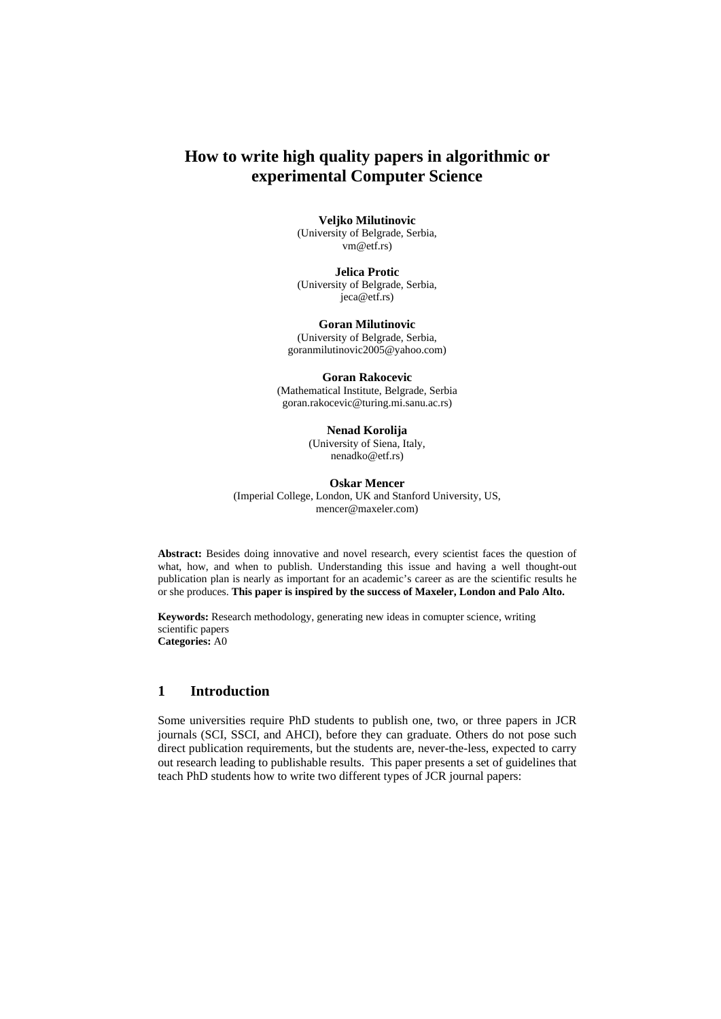# **How to write high quality papers in algorithmic or experimental Computer Science**

#### **Veljko Milutinovic**

(University of Belgrade, Serbia, vm@etf.rs)

**Jelica Protic**  (University of Belgrade, Serbia, jeca@etf.rs)

**Goran Milutinovic**  (University of Belgrade, Serbia, goranmilutinovic2005@yahoo.com)

**Goran Rakocevic**  (Mathematical Institute, Belgrade, Serbia goran.rakocevic@turing.mi.sanu.ac.rs)

#### **Nenad Korolija**

(University of Siena, Italy, nenadko@etf.rs)

**Oskar Mencer**  (Imperial College, London, UK and Stanford University, US, mencer@maxeler.com)

**Abstract:** Besides doing innovative and novel research, every scientist faces the question of what, how, and when to publish. Understanding this issue and having a well thought-out publication plan is nearly as important for an academic's career as are the scientific results he or she produces. **This paper is inspired by the success of Maxeler, London and Palo Alto.**

**Keywords:** Research methodology, generating new ideas in comupter science, writing scientific papers **Categories:** A0

# **1 Introduction**

Some universities require PhD students to publish one, two, or three papers in JCR journals (SCI, SSCI, and AHCI), before they can graduate. Others do not pose such direct publication requirements, but the students are, never-the-less, expected to carry out research leading to publishable results. This paper presents a set of guidelines that teach PhD students how to write two different types of JCR journal papers: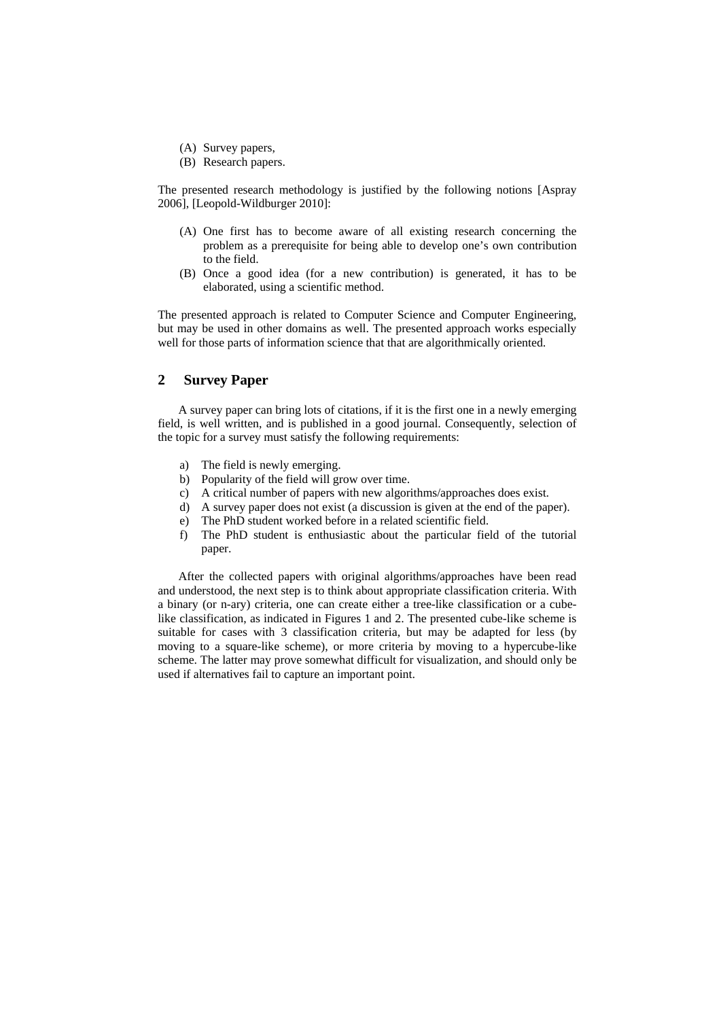- (A) Survey papers,
- (B) Research papers.

The presented research methodology is justified by the following notions [Aspray 2006], [Leopold-Wildburger 2010]:

- (A) One first has to become aware of all existing research concerning the problem as a prerequisite for being able to develop one's own contribution to the field.
- (B) Once a good idea (for a new contribution) is generated, it has to be elaborated, using a scientific method.

The presented approach is related to Computer Science and Computer Engineering, but may be used in other domains as well. The presented approach works especially well for those parts of information science that that are algorithmically oriented.

# **2 Survey Paper**

A survey paper can bring lots of citations, if it is the first one in a newly emerging field, is well written, and is published in a good journal. Consequently, selection of the topic for a survey must satisfy the following requirements:

- a) The field is newly emerging.
- b) Popularity of the field will grow over time.
- c) A critical number of papers with new algorithms/approaches does exist.
- d) A survey paper does not exist (a discussion is given at the end of the paper).
- e) The PhD student worked before in a related scientific field.
- f) The PhD student is enthusiastic about the particular field of the tutorial paper.

After the collected papers with original algorithms/approaches have been read and understood, the next step is to think about appropriate classification criteria. With a binary (or n-ary) criteria, one can create either a tree-like classification or a cubelike classification, as indicated in Figures 1 and 2. The presented cube-like scheme is suitable for cases with 3 classification criteria, but may be adapted for less (by moving to a square-like scheme), or more criteria by moving to a hypercube-like scheme. The latter may prove somewhat difficult for visualization, and should only be used if alternatives fail to capture an important point.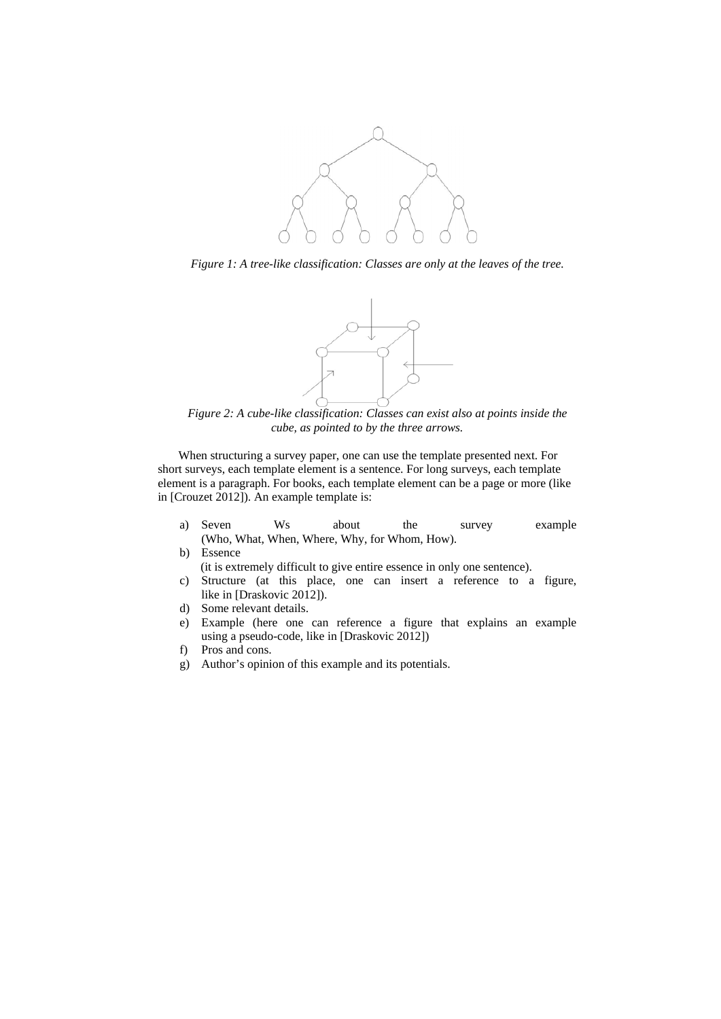

*Figure 1: A tree-like classification: Classes are only at the leaves of the tree.* 



*Figure 2: A cube-like classification: Classes can exist also at points inside the cube, as pointed to by the three arrows.* 

When structuring a survey paper, one can use the template presented next. For short surveys, each template element is a sentence. For long surveys, each template element is a paragraph. For books, each template element can be a page or more (like in [Crouzet 2012]). An example template is:

- a) Seven Ws about the survey example (Who, What, When, Where, Why, for Whom, How).
- b) Essence (it is extremely difficult to give entire essence in only one sentence).
- c) Structure (at this place, one can insert a reference to a figure, like in [Draskovic 2012]).
- d) Some relevant details.
- e) Example (here one can reference a figure that explains an example using a pseudo-code, like in [Draskovic 2012])
- f) Pros and cons.
- g) Author's opinion of this example and its potentials.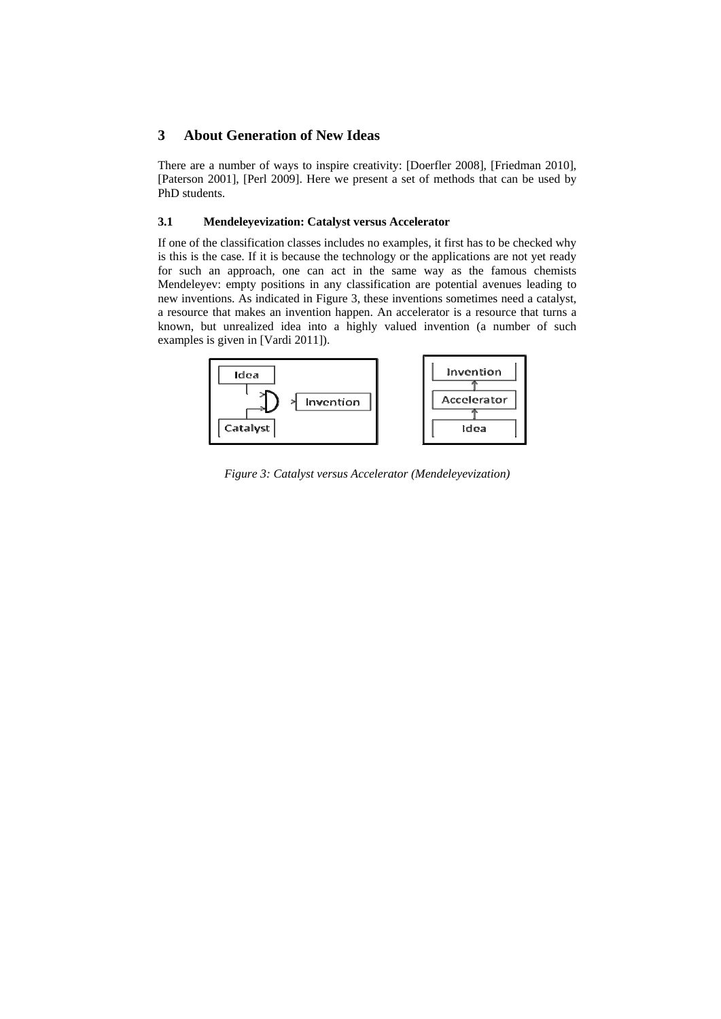# **3 About Generation of New Ideas**

There are a number of ways to inspire creativity: [Doerfler 2008], [Friedman 2010], [Paterson 2001], [Perl 2009]. Here we present a set of methods that can be used by PhD students.

### **3.1 Mendeleyevization: Catalyst versus Accelerator**

If one of the classification classes includes no examples, it first has to be checked why is this is the case. If it is because the technology or the applications are not yet ready for such an approach, one can act in the same way as the famous chemists Mendeleyev: empty positions in any classification are potential avenues leading to new inventions. As indicated in Figure 3, these inventions sometimes need a catalyst, a resource that makes an invention happen. An accelerator is a resource that turns a known, but unrealized idea into a highly valued invention (a number of such examples is given in [Vardi 2011]).



*Figure 3: Catalyst versus Accelerator (Mendeleyevization)*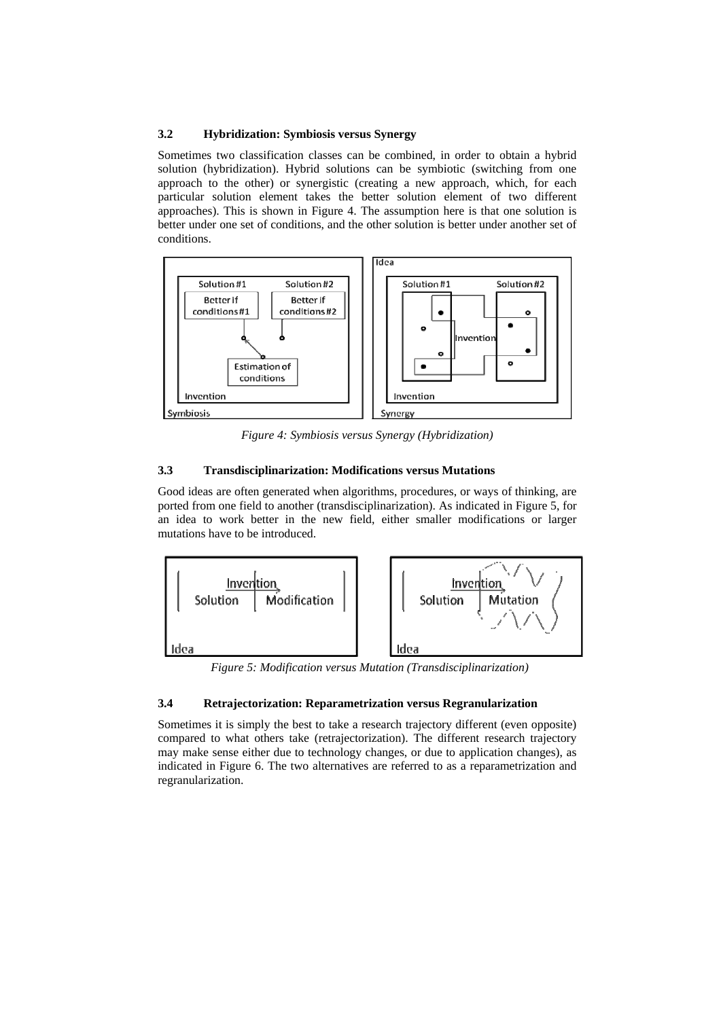### **3.2 Hybridization: Symbiosis versus Synergy**

Sometimes two classification classes can be combined, in order to obtain a hybrid solution (hybridization). Hybrid solutions can be symbiotic (switching from one approach to the other) or synergistic (creating a new approach, which, for each particular solution element takes the better solution element of two different approaches). This is shown in Figure 4. The assumption here is that one solution is better under one set of conditions, and the other solution is better under another set of conditions.



*Figure 4: Symbiosis versus Synergy (Hybridization)* 

# **3.3 Transdisciplinarization: Modifications versus Mutations**

Good ideas are often generated when algorithms, procedures, or ways of thinking, are ported from one field to another (transdisciplinarization). As indicated in Figure 5, for an idea to work better in the new field, either smaller modifications or larger mutations have to be introduced.



*Figure 5: Modification versus Mutation (Transdisciplinarization)* 

## **3.4 Retrajectorization: Reparametrization versus Regranularization**

Sometimes it is simply the best to take a research trajectory different (even opposite) compared to what others take (retrajectorization). The different research trajectory may make sense either due to technology changes, or due to application changes), as indicated in Figure 6. The two alternatives are referred to as a reparametrization and regranularization.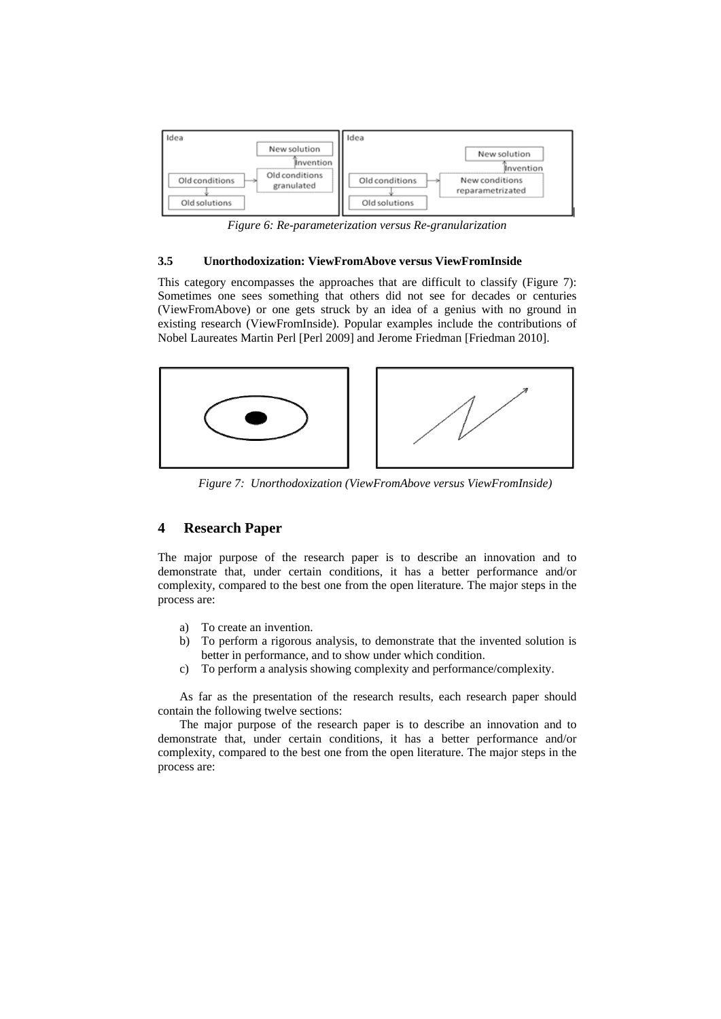

*Figure 6: Re-parameterization versus Re-granularization*

### **3.5 Unorthodoxization: ViewFromAbove versus ViewFromInside**

This category encompasses the approaches that are difficult to classify (Figure 7): Sometimes one sees something that others did not see for decades or centuries (ViewFromAbove) or one gets struck by an idea of a genius with no ground in existing research (ViewFromInside). Popular examples include the contributions of Nobel Laureates Martin Perl [Perl 2009] and Jerome Friedman [Friedman 2010].



*Figure 7: Unorthodoxization (ViewFromAbove versus ViewFromInside)* 

# **4 Research Paper**

The major purpose of the research paper is to describe an innovation and to demonstrate that, under certain conditions, it has a better performance and/or complexity, compared to the best one from the open literature. The major steps in the process are:

- a) To create an invention.
- b) To perform a rigorous analysis, to demonstrate that the invented solution is better in performance, and to show under which condition.
- c) To perform a analysis showing complexity and performance/complexity.

As far as the presentation of the research results, each research paper should contain the following twelve sections:

The major purpose of the research paper is to describe an innovation and to demonstrate that, under certain conditions, it has a better performance and/or complexity, compared to the best one from the open literature. The major steps in the process are: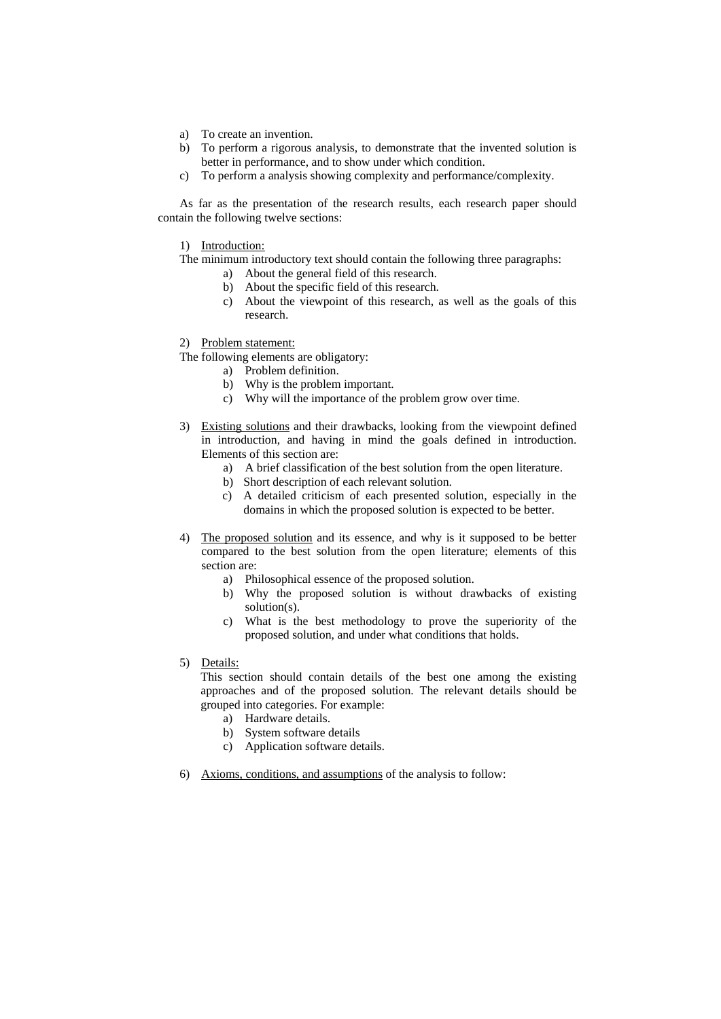- a) To create an invention.
- b) To perform a rigorous analysis, to demonstrate that the invented solution is better in performance, and to show under which condition.
- c) To perform a analysis showing complexity and performance/complexity.

As far as the presentation of the research results, each research paper should contain the following twelve sections:

1) Introduction:

The minimum introductory text should contain the following three paragraphs:

- a) About the general field of this research.
- b) About the specific field of this research.
- c) About the viewpoint of this research, as well as the goals of this research.
- 2) Problem statement:
- The following elements are obligatory:
	- a) Problem definition.
	- b) Why is the problem important.
	- c) Why will the importance of the problem grow over time.
- 3) Existing solutions and their drawbacks, looking from the viewpoint defined in introduction, and having in mind the goals defined in introduction. Elements of this section are:
	- a) A brief classification of the best solution from the open literature.
	- b) Short description of each relevant solution.
	- c) A detailed criticism of each presented solution, especially in the domains in which the proposed solution is expected to be better.
- 4) The proposed solution and its essence, and why is it supposed to be better compared to the best solution from the open literature; elements of this section are:
	- a) Philosophical essence of the proposed solution.
	- b) Why the proposed solution is without drawbacks of existing solution(s).
	- c) What is the best methodology to prove the superiority of the proposed solution, and under what conditions that holds.
- 5) Details:

This section should contain details of the best one among the existing approaches and of the proposed solution. The relevant details should be grouped into categories. For example:

- a) Hardware details.
- b) System software details
- c) Application software details.
- 6) Axioms, conditions, and assumptions of the analysis to follow: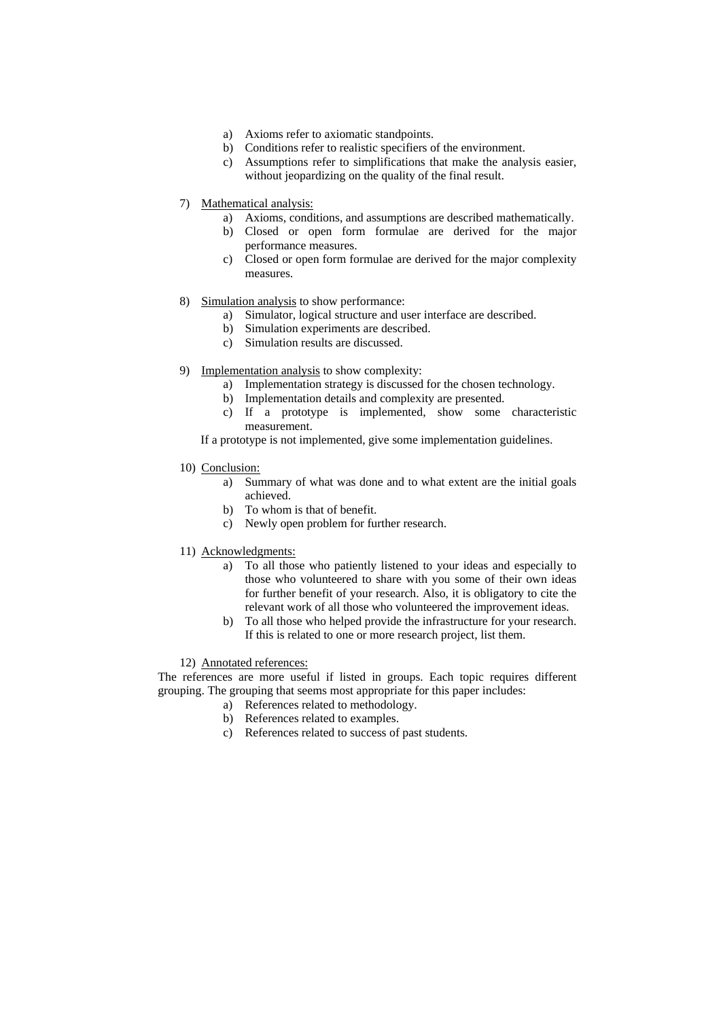- a) Axioms refer to axiomatic standpoints.
- b) Conditions refer to realistic specifiers of the environment.
- c) Assumptions refer to simplifications that make the analysis easier, without jeopardizing on the quality of the final result.
- 7) Mathematical analysis:
	- a) Axioms, conditions, and assumptions are described mathematically.
	- b) Closed or open form formulae are derived for the major performance measures.
	- c) Closed or open form formulae are derived for the major complexity measures.
- 8) Simulation analysis to show performance:
	- a) Simulator, logical structure and user interface are described.
	- b) Simulation experiments are described.
	- c) Simulation results are discussed.
- 9) Implementation analysis to show complexity:
	- a) Implementation strategy is discussed for the chosen technology.
	- b) Implementation details and complexity are presented.
	- c) If a prototype is implemented, show some characteristic measurement.

If a prototype is not implemented, give some implementation guidelines.

- 10) Conclusion:
	- a) Summary of what was done and to what extent are the initial goals achieved.
	- b) To whom is that of benefit.
	- c) Newly open problem for further research.
- 11) Acknowledgments:
	- a) To all those who patiently listened to your ideas and especially to those who volunteered to share with you some of their own ideas for further benefit of your research. Also, it is obligatory to cite the relevant work of all those who volunteered the improvement ideas.
	- b) To all those who helped provide the infrastructure for your research. If this is related to one or more research project, list them.

12) Annotated references:

The references are more useful if listed in groups. Each topic requires different grouping. The grouping that seems most appropriate for this paper includes:

- a) References related to methodology.
- b) References related to examples.
- c) References related to success of past students.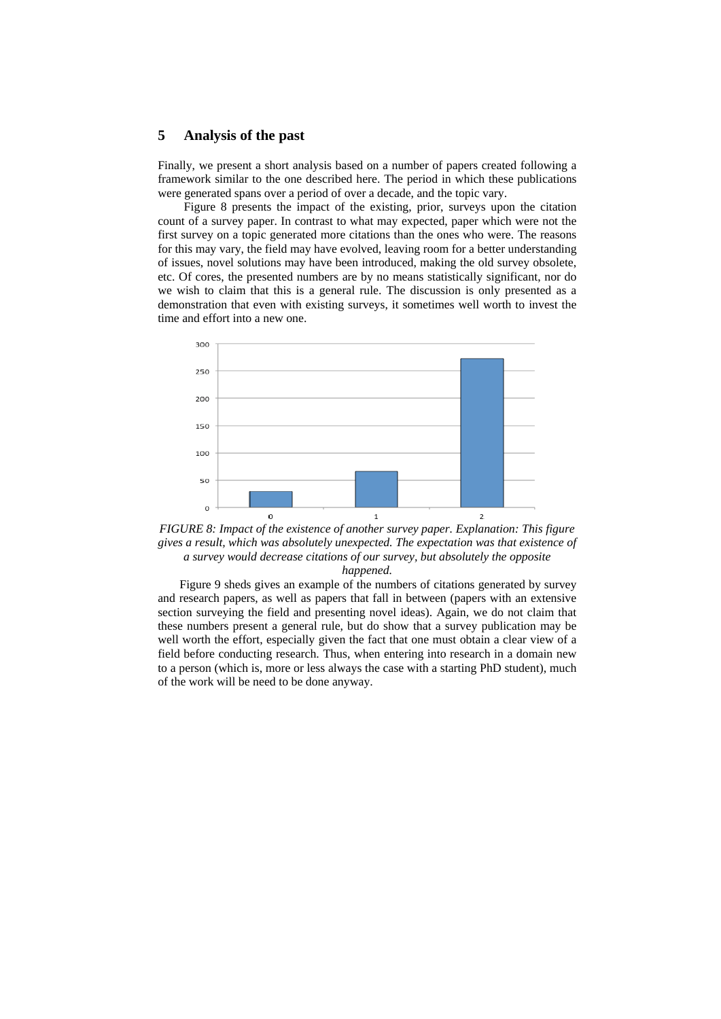#### **5 Analysis of the past**

Finally, we present a short analysis based on a number of papers created following a framework similar to the one described here. The period in which these publications were generated spans over a period of over a decade, and the topic vary.

Figure 8 presents the impact of the existing, prior, surveys upon the citation count of a survey paper. In contrast to what may expected, paper which were not the first survey on a topic generated more citations than the ones who were. The reasons for this may vary, the field may have evolved, leaving room for a better understanding of issues, novel solutions may have been introduced, making the old survey obsolete, etc. Of cores, the presented numbers are by no means statistically significant, nor do we wish to claim that this is a general rule. The discussion is only presented as a demonstration that even with existing surveys, it sometimes well worth to invest the time and effort into a new one.



*FIGURE 8: Impact of the existence of another survey paper. Explanation: This figure gives a result, which was absolutely unexpected. The expectation was that existence of a survey would decrease citations of our survey, but absolutely the opposite happened.* 

Figure 9 sheds gives an example of the numbers of citations generated by survey and research papers, as well as papers that fall in between (papers with an extensive section surveying the field and presenting novel ideas). Again, we do not claim that these numbers present a general rule, but do show that a survey publication may be well worth the effort, especially given the fact that one must obtain a clear view of a field before conducting research. Thus, when entering into research in a domain new to a person (which is, more or less always the case with a starting PhD student), much of the work will be need to be done anyway.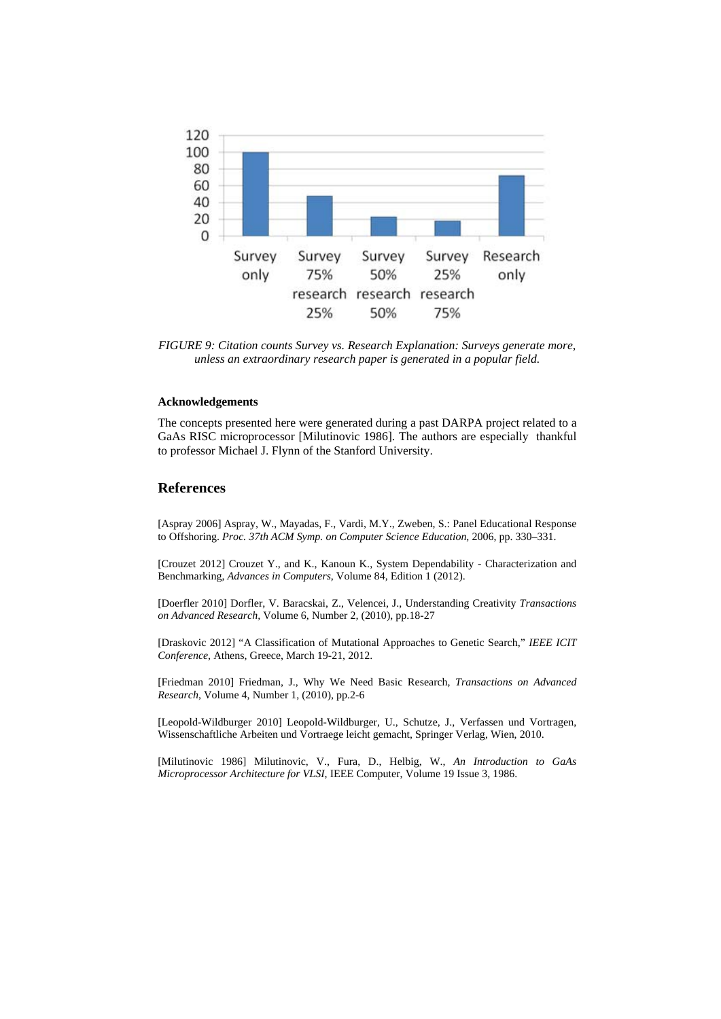

*FIGURE 9: Citation counts Survey vs. Research Explanation: Surveys generate more, unless an extraordinary research paper is generated in a popular field.* 

#### **Acknowledgements**

The concepts presented here were generated during a past DARPA project related to a GaAs RISC microprocessor [Milutinovic 1986]. The authors are especially thankful to professor Michael J. Flynn of the Stanford University.

## **References**

[Aspray 2006] Aspray, W., Mayadas, F., Vardi, M.Y., Zweben, S.: Panel Educational Response to Offshoring. *Proc. 37th ACM Symp. on Computer Science Education*, 2006, pp. 330–331.

[Crouzet 2012] Crouzet Y., and K., Kanoun K., System Dependability - Characterization and Benchmarking, *Advances in Computers*, Volume 84, Edition 1 (2012).

[Doerfler 2010] Dorfler, V. Baracskai, Z., Velencei, J., Understanding Creativity *Transactions on Advanced Research,* Volume 6, Number 2*,* (2010), pp.18-27

[Draskovic 2012] "A Classification of Mutational Approaches to Genetic Search," *IEEE ICIT Conference*, Athens, Greece, March 19-21, 2012.

[Friedman 2010] Friedman, J., Why We Need Basic Research, *Transactions on Advanced Research*, Volume 4, Number 1, (2010), pp.2-6

[Leopold-Wildburger 2010] Leopold-Wildburger, U., Schutze, J., Verfassen und Vortragen, Wissenschaftliche Arbeiten und Vortraege leicht gemacht, Springer Verlag, Wien, 2010.

[Milutinovic 1986] Milutinovic, V., Fura, D., Helbig, W., *An Introduction to GaAs Microprocessor Architecture for VLSI*, IEEE Computer, Volume 19 Issue 3, 1986.